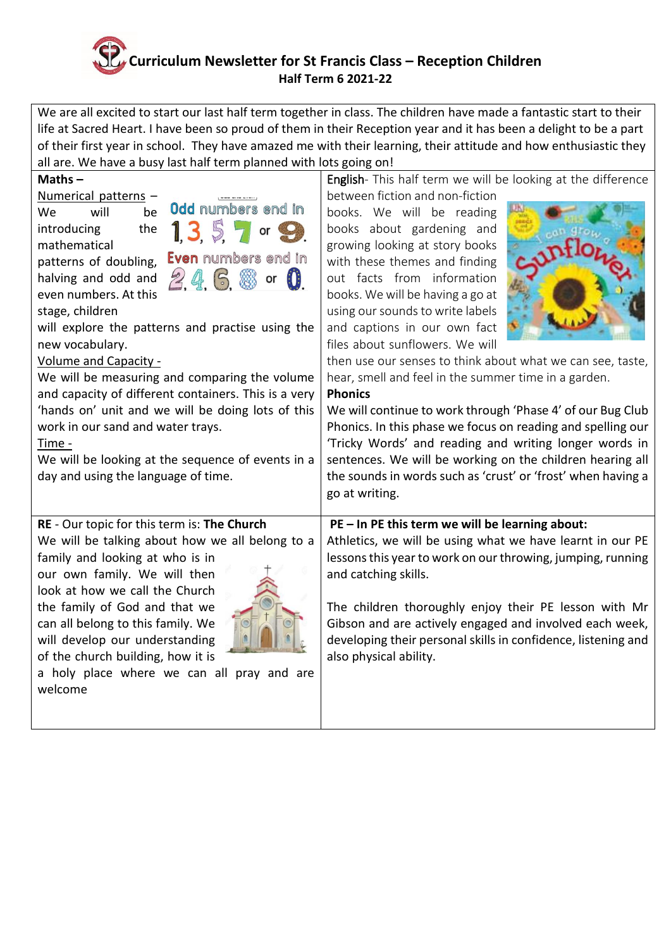## **Curriculum Newsletter for St Francis Class – Reception Children Half Term 6 2021-22**

We are all excited to start our last half term together in class. The children have made a fantastic start to their life at Sacred Heart. I have been so proud of them in their Reception year and it has been a delight to be a part of their first year in school. They have amazed me with their learning, their attitude and how enthusiastic they all are. We have a busy last half term planned with lots going on!

| Maths $-$                                                                                                                                                                                                                                                                                                                                                                                                                                                                                                                                                                          | English- This half term we will be looking at the difference                                                                                                                                                                                                                                                                                                                                                                                                                                                                                                            |
|------------------------------------------------------------------------------------------------------------------------------------------------------------------------------------------------------------------------------------------------------------------------------------------------------------------------------------------------------------------------------------------------------------------------------------------------------------------------------------------------------------------------------------------------------------------------------------|-------------------------------------------------------------------------------------------------------------------------------------------------------------------------------------------------------------------------------------------------------------------------------------------------------------------------------------------------------------------------------------------------------------------------------------------------------------------------------------------------------------------------------------------------------------------------|
| Numerical patterns -                                                                                                                                                                                                                                                                                                                                                                                                                                                                                                                                                               | between fiction and non-fiction                                                                                                                                                                                                                                                                                                                                                                                                                                                                                                                                         |
| Odd numbers end in<br>will<br>be<br>We<br>1, 3, 5, 7<br>the<br>introducing<br>$\mathsf{or}\,$<br>mathematical<br><b>Even</b> numbers end in<br>patterns of doubling,<br>2, 4, 6, 8<br>or $\mathbf{0}$<br>halving and odd and<br>even numbers. At this<br>stage, children<br>will explore the patterns and practise using the<br>new vocabulary.<br><b>Volume and Capacity -</b><br>We will be measuring and comparing the volume<br>and capacity of different containers. This is a very<br>'hands on' unit and we will be doing lots of this<br>work in our sand and water trays. | books. We will be reading<br>books about gardening and<br>growing looking at story books<br>with these themes and finding<br>out facts from information<br>books. We will be having a go at<br>using our sounds to write labels<br>and captions in our own fact<br>files about sunflowers. We will<br>then use our senses to think about what we can see, taste,<br>hear, smell and feel in the summer time in a garden.<br><b>Phonics</b><br>We will continue to work through 'Phase 4' of our Bug Club<br>Phonics. In this phase we focus on reading and spelling our |
| Time -                                                                                                                                                                                                                                                                                                                                                                                                                                                                                                                                                                             | 'Tricky Words' and reading and writing longer words in                                                                                                                                                                                                                                                                                                                                                                                                                                                                                                                  |
| We will be looking at the sequence of events in a<br>day and using the language of time.                                                                                                                                                                                                                                                                                                                                                                                                                                                                                           | sentences. We will be working on the children hearing all<br>the sounds in words such as 'crust' or 'frost' when having a                                                                                                                                                                                                                                                                                                                                                                                                                                               |
|                                                                                                                                                                                                                                                                                                                                                                                                                                                                                                                                                                                    | go at writing.                                                                                                                                                                                                                                                                                                                                                                                                                                                                                                                                                          |
| RE - Our topic for this term is: The Church                                                                                                                                                                                                                                                                                                                                                                                                                                                                                                                                        | PE - In PE this term we will be learning about:                                                                                                                                                                                                                                                                                                                                                                                                                                                                                                                         |
| We will be talking about how we all belong to a<br>family and looking at who is in<br>our own family. We will then<br>look at how we call the Church                                                                                                                                                                                                                                                                                                                                                                                                                               | Athletics, we will be using what we have learnt in our PE<br>lessons this year to work on our throwing, jumping, running<br>and catching skills.                                                                                                                                                                                                                                                                                                                                                                                                                        |
| the family of God and that we<br>can all belong to this family. We<br>will develop our understanding<br>of the church building, how it is<br>a holy place where we can all pray and are                                                                                                                                                                                                                                                                                                                                                                                            | The children thoroughly enjoy their PE lesson with Mr<br>Gibson and are actively engaged and involved each week,<br>developing their personal skills in confidence, listening and<br>also physical ability.                                                                                                                                                                                                                                                                                                                                                             |
| welcome                                                                                                                                                                                                                                                                                                                                                                                                                                                                                                                                                                            |                                                                                                                                                                                                                                                                                                                                                                                                                                                                                                                                                                         |